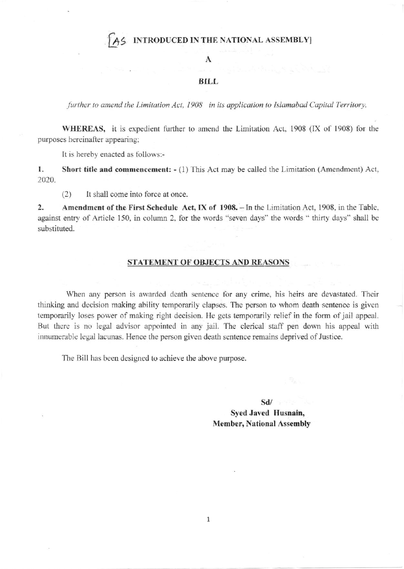## INTRODUCED IN THE NATIONAL ASSEMBLY]

### A

#### **BILL**

further to amend the Limitation Act, 1908 in its application to Islamabad Capital Territory.

WHEREAS, it is expedient further to amend the Limitation Act, 1908 (IX of 1908) for the purposes hereinafter appearing;

It is hereby enacted as follows:-

1. Short title and commencement: - (1) This Act may be called the Limitation (Amendment) Act, 2020.

 $(2)$ It shall come into force at once.

 $\overline{2}$ . Amendment of the First Schedule Act, IX of 1908. - In the Limitation Act, 1908, in the Table, against entry of Article 150, in column 2, for the words "seven days" the words " thirty days" shall be substituted.

#### **STATEMENT OF OBJECTS AND REASONS**

When any person is awarded death sentence for any crime, his heirs are devastated. Their thinking and decision making ability temporarily elapses. The person to whom death sentence is given temporarily loses power of making right decision. He gets temporarily relief in the form of jail appeal. But there is no legal advisor appointed in any jail. The clerical staff pen down his appeal with innumerable legal lacunas. Hence the person given death sentence remains deprived of Justice.

The Bill has been designed to achieve the above purpose.

 $Sd/$ Syed Javed Husnain, **Member, National Assembly**